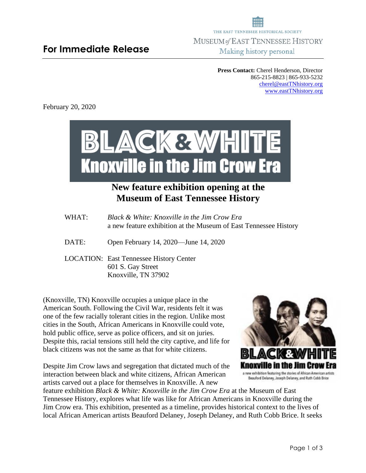**Press Contact:** Cherel Henderson, Director 865-215-8823 | 865-933-5232 [cherel@eastTNhistory.org](mailto:cherel@eastTNhistory.org) [www.eastTNhistory.org](http://www.easttnhistory.org/)

February 20, 2020



## **New feature exhibition opening at the Museum of East Tennessee History**

- WHAT: *Black & White: Knoxville in the Jim Crow Era* a new feature exhibition at the Museum of East Tennessee History
- DATE: Open February 14, 2020—June 14, 2020
- LOCATION: East Tennessee History Center 601 S. Gay Street Knoxville, TN 37902

(Knoxville, TN) Knoxville occupies a unique place in the American South. Following the Civil War, residents felt it was one of the few racially tolerant cities in the region. Unlike most cities in the South, African Americans in Knoxville could vote, hold public office, serve as police officers, and sit on juries. Despite this, racial tensions still held the city captive, and life for black citizens was not the same as that for white citizens.

Despite Jim Crow laws and segregation that dictated much of the interaction between black and white citizens, African American artists carved out a place for themselves in Knoxville. A new



feature exhibition *Black & White: Knoxville in the Jim Crow Era* at the Museum of East Tennessee History, explores what life was like for African Americans in Knoxville during the Jim Crow era. This exhibition, presented as a timeline, provides historical context to the lives of local African American artists Beauford Delaney, Joseph Delaney, and Ruth Cobb Brice. It seeks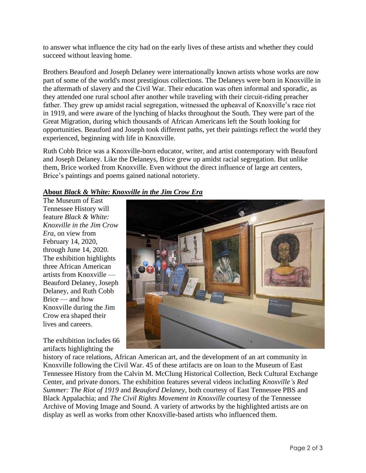to answer what influence the city had on the early lives of these artists and whether they could succeed without leaving home.

Brothers Beauford and Joseph Delaney were internationally known artists whose works are now part of some of the world's most prestigious collections. The Delaneys were born in Knoxville in the aftermath of slavery and the Civil War. Their education was often informal and sporadic, as they attended one rural school after another while traveling with their circuit-riding preacher father. They grew up amidst racial segregation, witnessed the upheaval of Knoxville's race riot in 1919, and were aware of the lynching of blacks throughout the South. They were part of the Great Migration, during which thousands of African Americans left the South looking for opportunities. Beauford and Joseph took different paths, yet their paintings reflect the world they experienced, beginning with life in Knoxville.

Ruth Cobb Brice was a Knoxville-born educator, writer, and artist contemporary with Beauford and Joseph Delaney. Like the Delaneys, Brice grew up amidst racial segregation. But unlike them, Brice worked from Knoxville. Even without the direct influence of large art centers, Brice's paintings and poems gained national notoriety.

## **About** *Black & White: Knoxville in the Jim Crow Era*

The Museum of East Tennessee History will feature *Black & White: Knoxville in the Jim Crow Era,* on view from February 14, 2020, through June 14, 2020. The exhibition highlights three African American artists from Knoxville — Beauford Delaney, Joseph Delaney, and Ruth Cobb Brice — and how Knoxville during the Jim Crow era shaped their lives and careers.

The exhibition includes 66 artifacts highlighting the



history of race relations, African American art, and the development of an art community in Knoxville following the Civil War. 45 of these artifacts are on loan to the Museum of East Tennessee History from the Calvin M. McClung Historical Collection, Beck Cultural Exchange Center, and private donors. The exhibition features several videos including *Knoxville's Red Summer: The Riot of 1919* and *Beauford Delaney,* both courtesy of East Tennessee PBS and Black Appalachia; and *The Civil Rights Movement in Knoxville* courtesy of the Tennessee Archive of Moving Image and Sound. A variety of artworks by the highlighted artists are on display as well as works from other Knoxville-based artists who influenced them.